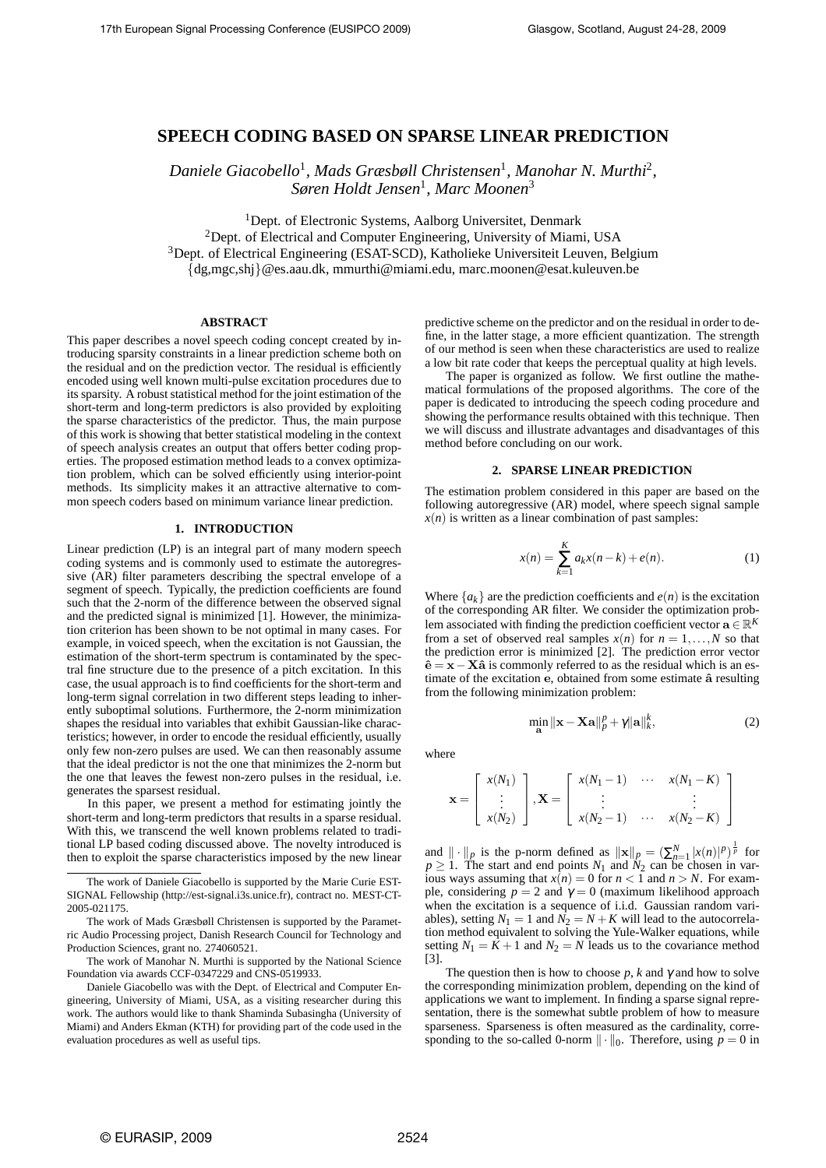## **SPEECH CODING BASED ON SPARSE LINEAR PREDICTION**

Daniele Giacobello<sup>1</sup>, Mads Græsbøll Christensen<sup>1</sup>, Manohar N. Murthi<sup>2</sup>, *Søren Holdt Jensen*<sup>1</sup> *, Marc Moonen*<sup>3</sup>

<sup>1</sup>Dept. of Electronic Systems, Aalborg Universitet, Denmark <sup>2</sup>Dept. of Electrical and Computer Engineering, University of Miami, USA <sup>3</sup>Dept. of Electrical Engineering (ESAT-SCD), Katholieke Universiteit Leuven, Belgium {dg,mgc,shj}@es.aau.dk, mmurthi@miami.edu, marc.moonen@esat.kuleuven.be

## **ABSTRACT**

This paper describes a novel speech coding concept created by introducing sparsity constraints in a linear prediction scheme both on the residual and on the prediction vector. The residual is efficiently encoded using well known multi-pulse excitation procedures due to its sparsity. A robust statistical method for the joint estimation of the short-term and long-term predictors is also provided by exploiting the sparse characteristics of the predictor. Thus, the main purpose of this work is showing that better statistical modeling in the context of speech analysis creates an output that offers better coding properties. The proposed estimation method leads to a convex optimization problem, which can be solved efficiently using interior-point methods. Its simplicity makes it an attractive alternative to common speech coders based on minimum variance linear prediction.

#### **1. INTRODUCTION**

Linear prediction (LP) is an integral part of many modern speech coding systems and is commonly used to estimate the autoregressive (AR) filter parameters describing the spectral envelope of a segment of speech. Typically, the prediction coefficients are found such that the 2-norm of the difference between the observed signal and the predicted signal is minimized [1]. However, the minimization criterion has been shown to be not optimal in many cases. For example, in voiced speech, when the excitation is not Gaussian, the estimation of the short-term spectrum is contaminated by the spectral fine structure due to the presence of a pitch excitation. In this case, the usual approach is to find coefficients for the short-term and long-term signal correlation in two different steps leading to inherently suboptimal solutions. Furthermore, the 2-norm minimization shapes the residual into variables that exhibit Gaussian-like characteristics; however, in order to encode the residual efficiently, usually only few non-zero pulses are used. We can then reasonably assume that the ideal predictor is not the one that minimizes the 2-norm but the one that leaves the fewest non-zero pulses in the residual, i.e. generates the sparsest residual.

In this paper, we present a method for estimating jointly the short-term and long-term predictors that results in a sparse residual. With this, we transcend the well known problems related to traditional LP based coding discussed above. The novelty introduced is then to exploit the sparse characteristics imposed by the new linear

The work of Daniele Giacobello is supported by the Marie Curie EST-SIGNAL Fellowship (http://est-signal.i3s.unice.fr), contract no. MEST-CT-2005-021175.

The work of Mads Græsbøll Christensen is supported by the Parametric Audio Processing project, Danish Research Council for Technology and Production Sciences, grant no. 274060521.

The work of Manohar N. Murthi is supported by the National Science Foundation via awards CCF-0347229 and CNS-0519933.

Daniele Giacobello was with the Dept. of Electrical and Computer Engineering, University of Miami, USA, as a visiting researcher during this work. The authors would like to thank Shaminda Subasingha (University of Miami) and Anders Ekman (KTH) for providing part of the code used in the evaluation procedures as well as useful tips.

predictive scheme on the predictor and on the residual in order to define, in the latter stage, a more efficient quantization. The strength of our method is seen when these characteristics are used to realize a low bit rate coder that keeps the perceptual quality at high levels.

The paper is organized as follow. We first outline the mathematical formulations of the proposed algorithms. The core of the paper is dedicated to introducing the speech coding procedure and showing the performance results obtained with this technique. Then we will discuss and illustrate advantages and disadvantages of this method before concluding on our work.

## **2. SPARSE LINEAR PREDICTION**

The estimation problem considered in this paper are based on the following autoregressive (AR) model, where speech signal sample  $x(n)$  is written as a linear combination of past samples:

$$
x(n) = \sum_{k=1}^{K} a_k x(n-k) + e(n).
$$
 (1)

Where  $\{a_k\}$  are the prediction coefficients and  $e(n)$  is the excitation of the corresponding AR filter. We consider the optimization problem associated with finding the prediction coefficient vector  $\mathbf{a} \in \mathbb{R}^K$ from a set of observed real samples  $x(n)$  for  $n = 1, \ldots, N$  so that the prediction error is minimized [2]. The prediction error vector  $\hat{\mathbf{e}} = \mathbf{x} - \mathbf{X}\hat{\mathbf{a}}$  is commonly referred to as the residual which is an estimate of the excitation e, obtained from some estimate  $\hat{a}$  resulting from the following minimization problem:

$$
\min_{\mathbf{a}} \|\mathbf{x} - \mathbf{X}\mathbf{a}\|_p^p + \gamma \|\mathbf{a}\|_k^k, \tag{2}
$$

where

$$
\mathbf{x} = \begin{bmatrix} x(N_1) \\ \vdots \\ x(N_2) \end{bmatrix}, \mathbf{X} = \begin{bmatrix} x(N_1 - 1) & \cdots & x(N_1 - K) \\ \vdots & & \vdots \\ x(N_2 - 1) & \cdots & x(N_2 - K) \end{bmatrix}
$$

and  $\|\cdot\|_p$  is the p-norm defined as  $\|\mathbf{x}\|_p = (\sum_{n=1}^N |x(n)|^p)^{\frac{1}{p}}$  for  $p \geq 1$ . The start and end points  $N_1$  and  $N_2$  can be chosen in various ways assuming that  $x(n) = 0$  for  $n < 1$  and  $n > N$ . For example, considering  $p = 2$  and  $\gamma = 0$  (maximum likelihood approach when the excitation is a sequence of i.i.d. Gaussian random variables), setting  $N_1 = 1$  and  $\hat{N_2} = N + K$  will lead to the autocorrelation method equivalent to solving the Yule-Walker equations, while setting  $N_1 = \overline{K} + 1$  and  $N_2 = N$  leads us to the covariance method [3].

The question then is how to choose  $p$ ,  $k$  and  $\gamma$  and how to solve the corresponding minimization problem, depending on the kind of applications we want to implement. In finding a sparse signal representation, there is the somewhat subtle problem of how to measure sparseness. Sparseness is often measured as the cardinality, corresponding to the so-called 0-norm  $\|\cdot\|_0$ . Therefore, using  $p = 0$  in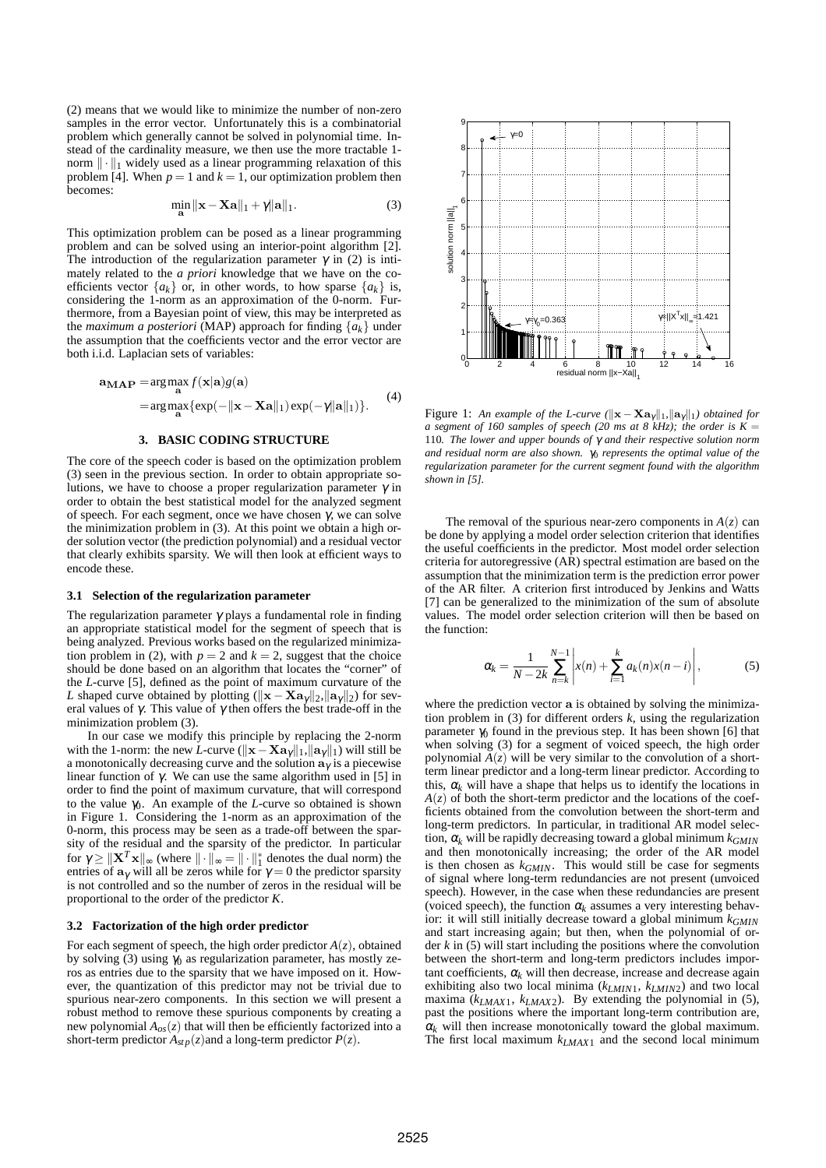(2) means that we would like to minimize the number of non-zero samples in the error vector. Unfortunately this is a combinatorial problem which generally cannot be solved in polynomial time. Instead of the cardinality measure, we then use the more tractable 1 norm  $\|\cdot\|_1$  widely used as a linear programming relaxation of this problem [4]. When  $p = 1$  and  $k = 1$ , our optimization problem then becomes:

$$
\min_{\mathbf{a}} \|\mathbf{x} - \mathbf{X}\mathbf{a}\|_1 + \gamma \|\mathbf{a}\|_1. \tag{3}
$$

This optimization problem can be posed as a linear programming problem and can be solved using an interior-point algorithm [2]. The introduction of the regularization parameter  $\gamma$  in (2) is intimately related to the *a priori* knowledge that we have on the coefficients vector  $\{a_k\}$  or, in other words, to how sparse  $\{a_k\}$  is, considering the 1-norm as an approximation of the 0-norm. Furthermore, from a Bayesian point of view, this may be interpreted as the *maximum a posteriori* (MAP) approach for finding  ${a_k}$  under the assumption that the coefficients vector and the error vector are both i.i.d. Laplacian sets of variables:

$$
\mathbf{a}_{\mathbf{MAP}} = \underset{\mathbf{a}}{\arg \max} f(\mathbf{x}|\mathbf{a}) g(\mathbf{a})
$$
  
= 
$$
\underset{\mathbf{a}}{\arg \max} \{ \exp(-\|\mathbf{x} - \mathbf{X}\mathbf{a}\|_1) \exp(-\gamma \|\mathbf{a}\|_1) \}.
$$
 (4)

## **3. BASIC CODING STRUCTURE**

The core of the speech coder is based on the optimization problem (3) seen in the previous section. In order to obtain appropriate solutions, we have to choose a proper regularization parameter  $\gamma$  in order to obtain the best statistical model for the analyzed segment of speech. For each segment, once we have chosen  $\gamma$ , we can solve the minimization problem in (3). At this point we obtain a high order solution vector (the prediction polynomial) and a residual vector that clearly exhibits sparsity. We will then look at efficient ways to encode these.

#### **3.1 Selection of the regularization parameter**

The regularization parameter  $\gamma$  plays a fundamental role in finding an appropriate statistical model for the segment of speech that is being analyzed. Previous works based on the regularized minimization problem in (2), with  $p = 2$  and  $k = 2$ , suggest that the choice should be done based on an algorithm that locates the "corner" of the *L*-curve [5], defined as the point of maximum curvature of the *L* shaped curve obtained by plotting ( $\|\mathbf{x} - \mathbf{Xa}_{\gamma}\|_{2}$ ,  $\|\mathbf{a}_{\gamma}\|_{2}$ ) for several values of  $\gamma$ . This value of  $\gamma$  then offers the best trade-off in the minimization problem (3).

In our case we modify this principle by replacing the 2-norm with the 1-norm: the new *L*-curve ( $\|\mathbf{x}-\mathbf{X}\mathbf{a}\gamma\|_1$ ,  $\|\mathbf{a}\gamma\|_1$ ) will still be a monotonically decreasing curve and the solution  $\mathbf{a}_{\gamma}$  is a piecewise linear function of γ. We can use the same algorithm used in [5] in order to find the point of maximum curvature, that will correspond to the value  $\gamma_0$ . An example of the *L*-curve so obtained is shown in Figure 1. Considering the 1-norm as an approximation of the 0-norm, this process may be seen as a trade-off between the sparsity of the residual and the sparsity of the predictor. In particular for  $\gamma \geq ||\mathbf{X}^T \mathbf{x}||_{\infty}$  (where  $|| \cdot ||_{\infty} = || \cdot ||_1^*$  denotes the dual norm) the entries of  $\mathbf{a}_{\gamma}$  will all be zeros while for  $\gamma = 0$  the predictor sparsity is not controlled and so the number of zeros in the residual will be proportional to the order of the predictor *K*.

#### **3.2 Factorization of the high order predictor**

For each segment of speech, the high order predictor  $A(z)$ , obtained by solving (3) using  $\gamma_0$  as regularization parameter, has mostly zeros as entries due to the sparsity that we have imposed on it. However, the quantization of this predictor may not be trivial due to spurious near-zero components. In this section we will present a robust method to remove these spurious components by creating a new polynomial  $A_{\text{os}}(z)$  that will then be efficiently factorized into a short-term predictor  $A_{stp}(z)$  and a long-term predictor  $P(z)$ .



Figure 1: An example of the L-curve ( $\|\mathbf{x} - \mathbf{X}\mathbf{a}_{\gamma}\|_1$ ,  $\|\mathbf{a}_{\gamma}\|_1$ ) obtained for *a segment of 160 samples of speech (20 ms at 8 kHz); the order is*  $K =$ 110*. The lower and upper bounds of* γ *and their respective solution norm and residual norm are also shown. γ*<sub>0</sub> *represents the optimal value of the regularization parameter for the current segment found with the algorithm shown in [5].*

The removal of the spurious near-zero components in  $A(z)$  can be done by applying a model order selection criterion that identifies the useful coefficients in the predictor. Most model order selection criteria for autoregressive (AR) spectral estimation are based on the assumption that the minimization term is the prediction error power of the AR filter. A criterion first introduced by Jenkins and Watts [7] can be generalized to the minimization of the sum of absolute values. The model order selection criterion will then be based on the function:

$$
\alpha_k = \frac{1}{N - 2k} \sum_{n=k}^{N-1} \left| x(n) + \sum_{i=1}^k a_k(n) x(n-i) \right|,
$$
 (5)

where the prediction vector a is obtained by solving the minimization problem in (3) for different orders *k*, using the regularization parameter  $\gamma_0$  found in the previous step. It has been shown [6] that when solving (3) for a segment of voiced speech, the high order polynomial  $A(z)$  will be very similar to the convolution of a shortterm linear predictor and a long-term linear predictor. According to this,  $\alpha_k$  will have a shape that helps us to identify the locations in  $A(z)$  of both the short-term predictor and the locations of the coefficients obtained from the convolution between the short-term and long-term predictors. In particular, in traditional AR model selection, <sup>α</sup>*<sup>k</sup>* will be rapidly decreasing toward a global minimum *kGMIN* and then monotonically increasing; the order of the AR model is then chosen as *kGMIN*. This would still be case for segments of signal where long-term redundancies are not present (unvoiced speech). However, in the case when these redundancies are present (voiced speech), the function  $\alpha_k$  assumes a very interesting behavior: it will still initially decrease toward a global minimum *kGMIN* and start increasing again; but then, when the polynomial of order  $k$  in (5) will start including the positions where the convolution between the short-term and long-term predictors includes important coefficients,  $\alpha_k$  will then decrease, increase and decrease again exhibiting also two local minima (*kLMIN*1, *kLMIN*2) and two local maxima  $(k_{LMAX1}, k_{LMAX2})$ . By extending the polynomial in (5), past the positions where the important long-term contribution are,  $\alpha_k$  will then increase monotonically toward the global maximum. The first local maximum *kLMAX*<sup>1</sup> and the second local minimum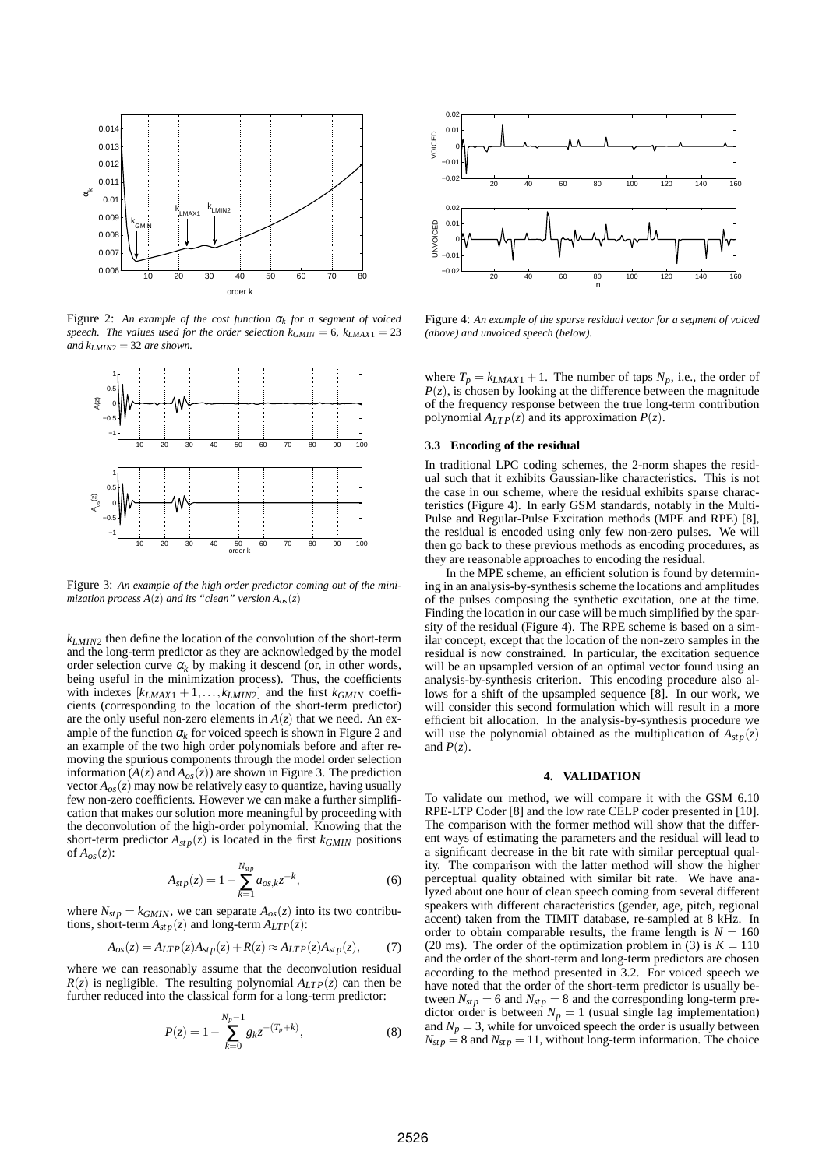

Figure 2: *An example of the cost function* <sup>α</sup>*<sup>k</sup> for a segment of voiced speech. The values used for the order selection*  $k_{GMIN} = 6$ ,  $k_{LMAX1} = 23$ *and*  $k_{LMIN2} = 32$  *are shown.* 



Figure 3: *An example of the high order predictor coming out of the minimization process*  $A(z)$  *and its "clean" version*  $A_{\alpha s}(z)$ 

*kLMIN*<sup>2</sup> then define the location of the convolution of the short-term and the long-term predictor as they are acknowledged by the model order selection curve  $\alpha_k$  by making it descend (or, in other words, being useful in the minimization process). Thus, the coefficients with indexes  $[k_{LMAX1} + 1, \ldots, k_{LMIN2}]$  and the first  $k_{GMIN}$  coefficients (corresponding to the location of the short-term predictor) are the only useful non-zero elements in  $A(z)$  that we need. An example of the function  $\alpha_k$  for voiced speech is shown in Figure 2 and an example of the two high order polynomials before and after removing the spurious components through the model order selection information  $(A(z)$  and  $A_{os}(z)$ ) are shown in Figure 3. The prediction vector  $A_{\alpha s}(z)$  may now be relatively easy to quantize, having usually few non-zero coefficients. However we can make a further simplification that makes our solution more meaningful by proceeding with the deconvolution of the high-order polynomial. Knowing that the short-term predictor  $A_{\text{stp}}(z)$  is located in the first  $k_{GMIN}$  positions of  $A_{\text{os}}(z)$ :

$$
A_{stp}(z) = 1 - \sum_{k=1}^{N_{stp}} a_{os,k} z^{-k},
$$
\n(6)

where  $N_{stp} = k_{GMIN}$ , we can separate  $A_{os}(z)$  into its two contributions, short-term  $A_{stp}(z)$  and long-term  $A_{LTP}(z)$ :

$$
A_{os}(z) = A_{LTP}(z)A_{stp}(z) + R(z) \approx A_{LTP}(z)A_{stp}(z), \tag{7}
$$

where we can reasonably assume that the deconvolution residual  $R(z)$  is negligible. The resulting polynomial  $A_{LTP}(z)$  can then be further reduced into the classical form for a long-term predictor:

$$
P(z) = 1 - \sum_{k=0}^{N_p - 1} g_k z^{-(T_p + k)},
$$
\n(8)



Figure 4: *An example of the sparse residual vector for a segment of voiced (above) and unvoiced speech (below).*

where  $T_p = k_{LMAX1} + 1$ . The number of taps  $N_p$ , i.e., the order of  $P(z)$ , is chosen by looking at the difference between the magnitude of the frequency response between the true long-term contribution polynomial  $A_{LTP}(z)$  and its approximation  $P(z)$ .

## **3.3 Encoding of the residual**

In traditional LPC coding schemes, the 2-norm shapes the residual such that it exhibits Gaussian-like characteristics. This is not the case in our scheme, where the residual exhibits sparse characteristics (Figure 4). In early GSM standards, notably in the Multi-Pulse and Regular-Pulse Excitation methods (MPE and RPE) [8], the residual is encoded using only few non-zero pulses. We will then go back to these previous methods as encoding procedures, as they are reasonable approaches to encoding the residual.

In the MPE scheme, an efficient solution is found by determining in an analysis-by-synthesis scheme the locations and amplitudes of the pulses composing the synthetic excitation, one at the time. Finding the location in our case will be much simplified by the sparsity of the residual (Figure 4). The RPE scheme is based on a similar concept, except that the location of the non-zero samples in the residual is now constrained. In particular, the excitation sequence will be an upsampled version of an optimal vector found using an analysis-by-synthesis criterion. This encoding procedure also allows for a shift of the upsampled sequence [8]. In our work, we will consider this second formulation which will result in a more efficient bit allocation. In the analysis-by-synthesis procedure we will use the polynomial obtained as the multiplication of  $A_{\text{stp}}(z)$ and  $P(z)$ .

#### **4. VALIDATION**

To validate our method, we will compare it with the GSM 6.10 RPE-LTP Coder [8] and the low rate CELP coder presented in [10]. The comparison with the former method will show that the different ways of estimating the parameters and the residual will lead to a significant decrease in the bit rate with similar perceptual quality. The comparison with the latter method will show the higher perceptual quality obtained with similar bit rate. We have analyzed about one hour of clean speech coming from several different speakers with different characteristics (gender, age, pitch, regional accent) taken from the TIMIT database, re-sampled at 8 kHz. In order to obtain comparable results, the frame length is  $N = 160$ (20 ms). The order of the optimization problem in (3) is  $K = 110$ and the order of the short-term and long-term predictors are chosen according to the method presented in 3.2. For voiced speech we have noted that the order of the short-term predictor is usually between  $N_{stp} = 6$  and  $N_{stp} = 8$  and the corresponding long-term predictor order is between  $N_p = 1$  (usual single lag implementation) and  $N_p = 3$ , while for unvoiced speech the order is usually between  $N_{stp} = 8$  and  $N_{stp} = 11$ , without long-term information. The choice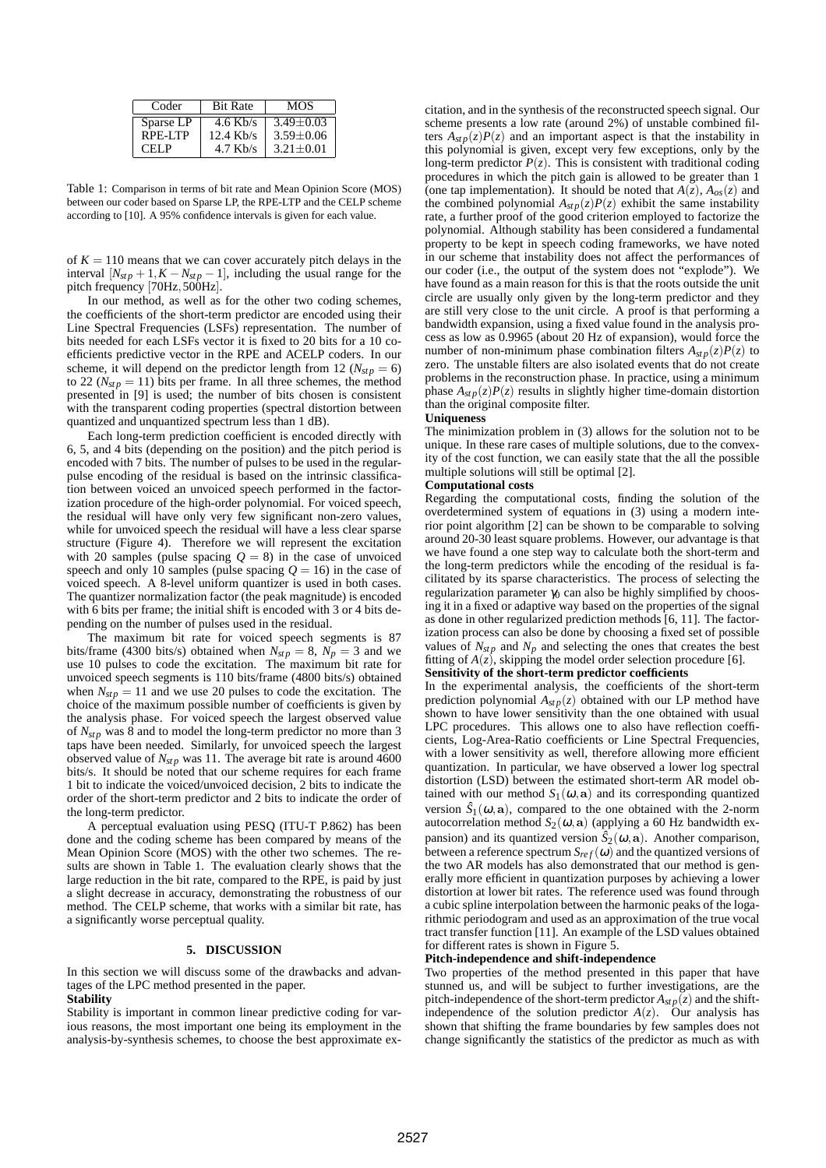| Coder     | <b>Bit Rate</b> | MOS             |
|-----------|-----------------|-----------------|
| Sparse LP | $4.6$ Kb/s      | $3.49 + 0.03$   |
| RPE-LTP   | $12.4$ Kb/s     | $3.59 \pm 0.06$ |
| CELP      | $4.7$ Kb/s      | $3.21 + 0.01$   |

Table 1: Comparison in terms of bit rate and Mean Opinion Score (MOS) between our coder based on Sparse LP, the RPE-LTP and the CELP scheme according to [10]. A 95% confidence intervals is given for each value.

of  $K = 110$  means that we can cover accurately pitch delays in the interval  $[N_{stp} + 1, K - N_{stp} - 1]$ , including the usual range for the pitch frequency [70Hz, 500Hz].

In our method, as well as for the other two coding schemes, the coefficients of the short-term predictor are encoded using their Line Spectral Frequencies (LSFs) representation. The number of bits needed for each LSFs vector it is fixed to 20 bits for a 10 coefficients predictive vector in the RPE and ACELP coders. In our scheme, it will depend on the predictor length from 12 ( $N_{stp} = 6$ ) to 22 ( $N_{\text{stp}} = 11$ ) bits per frame. In all three schemes, the method presented in [9] is used; the number of bits chosen is consistent with the transparent coding properties (spectral distortion between quantized and unquantized spectrum less than 1 dB).

Each long-term prediction coefficient is encoded directly with 6, 5, and 4 bits (depending on the position) and the pitch period is encoded with 7 bits. The number of pulses to be used in the regularpulse encoding of the residual is based on the intrinsic classification between voiced an unvoiced speech performed in the factorization procedure of the high-order polynomial. For voiced speech, the residual will have only very few significant non-zero values, while for unvoiced speech the residual will have a less clear sparse structure (Figure 4). Therefore we will represent the excitation with 20 samples (pulse spacing  $Q = 8$ ) in the case of unvoiced speech and only 10 samples (pulse spacing  $Q = 16$ ) in the case of voiced speech. A 8-level uniform quantizer is used in both cases. The quantizer normalization factor (the peak magnitude) is encoded with 6 bits per frame; the initial shift is encoded with 3 or 4 bits depending on the number of pulses used in the residual.

The maximum bit rate for voiced speech segments is 87 bits/frame (4300 bits/s) obtained when  $N_{\rm sfp} = 8$ ,  $N_p = 3$  and we use 10 pulses to code the excitation. The maximum bit rate for unvoiced speech segments is 110 bits/frame (4800 bits/s) obtained when  $N_{\text{stp}} = 11$  and we use 20 pulses to code the excitation. The choice of the maximum possible number of coefficients is given by the analysis phase. For voiced speech the largest observed value of *N<sub>stp</sub>* was 8 and to model the long-term predictor no more than 3 taps have been needed. Similarly, for unvoiced speech the largest observed value of  $N_{\text{st p}}$  was 11. The average bit rate is around 4600 bits/s. It should be noted that our scheme requires for each frame 1 bit to indicate the voiced/unvoiced decision, 2 bits to indicate the order of the short-term predictor and 2 bits to indicate the order of the long-term predictor.

A perceptual evaluation using PESQ (ITU-T P.862) has been done and the coding scheme has been compared by means of the Mean Opinion Score (MOS) with the other two schemes. The results are shown in Table 1. The evaluation clearly shows that the large reduction in the bit rate, compared to the RPE, is paid by just a slight decrease in accuracy, demonstrating the robustness of our method. The CELP scheme, that works with a similar bit rate, has a significantly worse perceptual quality.

## **5. DISCUSSION**

In this section we will discuss some of the drawbacks and advantages of the LPC method presented in the paper.

### **Stability**

Stability is important in common linear predictive coding for various reasons, the most important one being its employment in the analysis-by-synthesis schemes, to choose the best approximate excitation, and in the synthesis of the reconstructed speech signal. Our scheme presents a low rate (around 2%) of unstable combined filters  $A_{\text{str}}(z)P(z)$  and an important aspect is that the instability in this polynomial is given, except very few exceptions, only by the long-term predictor  $P(z)$ . This is consistent with traditional coding procedures in which the pitch gain is allowed to be greater than 1 (one tap implementation). It should be noted that  $A(z)$ ,  $A_{\alpha s}(z)$  and the combined polynomial  $A_{stp}(z)P(z)$  exhibit the same instability rate, a further proof of the good criterion employed to factorize the polynomial. Although stability has been considered a fundamental property to be kept in speech coding frameworks, we have noted in our scheme that instability does not affect the performances of our coder (i.e., the output of the system does not "explode"). We have found as a main reason for this is that the roots outside the unit circle are usually only given by the long-term predictor and they are still very close to the unit circle. A proof is that performing a bandwidth expansion, using a fixed value found in the analysis process as low as 0.9965 (about 20 Hz of expansion), would force the number of non-minimum phase combination filters  $A_{stp}(z)P(z)$  to zero. The unstable filters are also isolated events that do not create problems in the reconstruction phase. In practice, using a minimum phase  $A_{\text{stp}}(z)P(z)$  results in slightly higher time-domain distortion than the original composite filter.

#### **Uniqueness**

The minimization problem in (3) allows for the solution not to be unique. In these rare cases of multiple solutions, due to the convexity of the cost function, we can easily state that the all the possible multiple solutions will still be optimal [2].

#### **Computational costs**

Regarding the computational costs, finding the solution of the overdetermined system of equations in (3) using a modern interior point algorithm [2] can be shown to be comparable to solving around 20-30 least square problems. However, our advantage is that we have found a one step way to calculate both the short-term and the long-term predictors while the encoding of the residual is facilitated by its sparse characteristics. The process of selecting the regularization parameter  $\gamma_0$  can also be highly simplified by choosing it in a fixed or adaptive way based on the properties of the signal as done in other regularized prediction methods [6, 11]. The factorization process can also be done by choosing a fixed set of possible values of  $N_{stp}$  and  $N_p$  and selecting the ones that creates the best fitting of  $A(z)$ , skipping the model order selection procedure [6].

# **Sensitivity of the short-term predictor coefficients**

In the experimental analysis, the coefficients of the short-term prediction polynomial  $A_{\text{stp}}(z)$  obtained with our LP method have shown to have lower sensitivity than the one obtained with usual LPC procedures. This allows one to also have reflection coefficients, Log-Area-Ratio coefficients or Line Spectral Frequencies, with a lower sensitivity as well, therefore allowing more efficient quantization. In particular, we have observed a lower log spectral distortion (LSD) between the estimated short-term AR model obtained with our method  $S_1(\omega, \mathbf{a})$  and its corresponding quantized version  $\hat{S}_1(\omega, \mathbf{a})$ , compared to the one obtained with the 2-norm autocorrelation method  $S_2(\omega, \mathbf{a})$  (applying a 60 Hz bandwidth expansion) and its quantized version  $\hat{S}_2(\omega, \mathbf{a})$ . Another comparison, between a reference spectrum  $S_{ref}(\omega)$  and the quantized versions of the two AR models has also demonstrated that our method is generally more efficient in quantization purposes by achieving a lower distortion at lower bit rates. The reference used was found through a cubic spline interpolation between the harmonic peaks of the logarithmic periodogram and used as an approximation of the true vocal tract transfer function [11]. An example of the LSD values obtained for different rates is shown in Figure 5.

#### **Pitch-independence and shift-independence**

Two properties of the method presented in this paper that have stunned us, and will be subject to further investigations, are the pitch-independence of the short-term predictor  $A_{stp}(z)$  and the shiftindependence of the solution predictor  $A(z)$ . Our analysis has shown that shifting the frame boundaries by few samples does not change significantly the statistics of the predictor as much as with